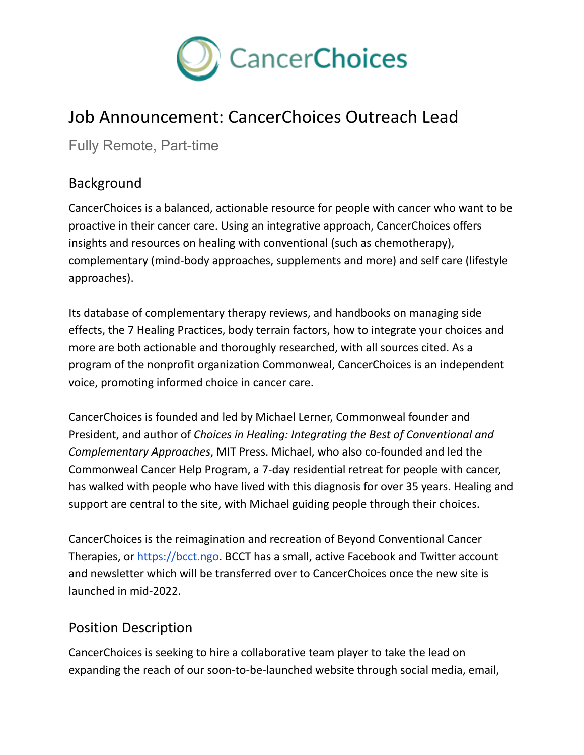

## Job Announcement: CancerChoices Outreach Lead

Fully Remote, Part-time

## Background

CancerChoices is a balanced, actionable resource for people with cancer who want to be proactive in their cancer care. Using an integrative approach, CancerChoices offers insights and resources on healing with conventional (such as chemotherapy), complementary (mind-body approaches, supplements and more) and self care (lifestyle approaches).

Its database of complementary therapy reviews, and handbooks on managing side effects, the 7 Healing Practices, body terrain factors, how to integrate your choices and more are both actionable and thoroughly researched, with all sources cited. As a program of the nonprofit organization Commonweal, CancerChoices is an independent voice, promoting informed choice in cancer care.

CancerChoices is founded and led by Michael Lerner, Commonweal founder and President, and author of *Choices in Healing: Integrating the Best of Conventional and Complementary Approaches*, MIT Press. Michael, who also co-founded and led the Commonweal Cancer Help Program, a 7-day residential retreat for people with cancer, has walked with people who have lived with this diagnosis for over 35 years. Healing and support are central to the site, with Michael guiding people through their choices.

CancerChoices is the reimagination and recreation of Beyond Conventional Cancer Therapies, or [https://bcct.ngo.](https://bcct.ngo) BCCT has a small, active Facebook and Twitter account and newsletter which will be transferred over to CancerChoices once the new site is launched in mid-2022.

## Position Description

CancerChoices is seeking to hire a collaborative team player to take the lead on expanding the reach of our soon-to-be-launched website through social media, email,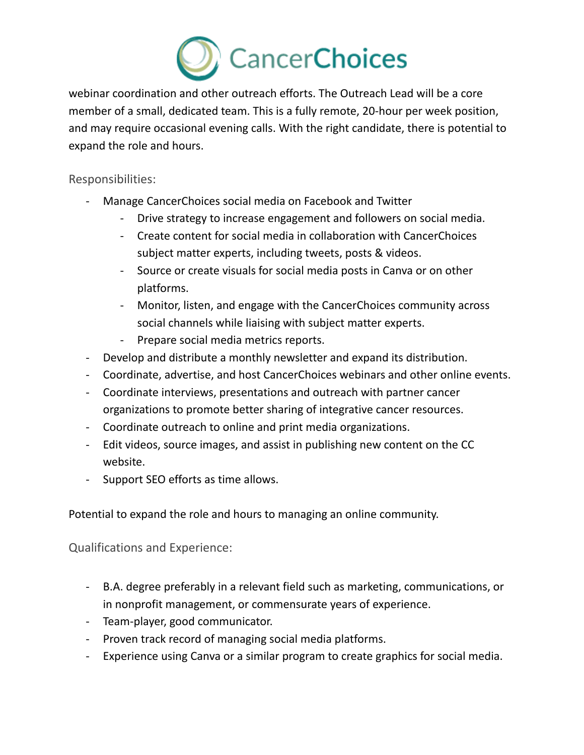

webinar coordination and other outreach efforts. The Outreach Lead will be a core member of a small, dedicated team. This is a fully remote, 20-hour per week position, and may require occasional evening calls. With the right candidate, there is potential to expand the role and hours.

Responsibilities:

- Manage CancerChoices social media on Facebook and Twitter
	- Drive strategy to increase engagement and followers on social media.
	- Create content for social media in collaboration with CancerChoices subject matter experts, including tweets, posts & videos.
	- Source or create visuals for social media posts in Canva or on other platforms.
	- Monitor, listen, and engage with the CancerChoices community across social channels while liaising with subject matter experts.
	- Prepare social media metrics reports.
- Develop and distribute a monthly newsletter and expand its distribution.
- Coordinate, advertise, and host CancerChoices webinars and other online events.
- Coordinate interviews, presentations and outreach with partner cancer organizations to promote better sharing of integrative cancer resources.
- Coordinate outreach to online and print media organizations.
- Edit videos, source images, and assist in publishing new content on the CC website.
- Support SEO efforts as time allows.

Potential to expand the role and hours to managing an online community.

Qualifications and Experience:

- B.A. degree preferably in a relevant field such as marketing, communications, or in nonprofit management, or commensurate years of experience.
- Team-player, good communicator.
- Proven track record of managing social media platforms.
- Experience using Canva or a similar program to create graphics for social media.